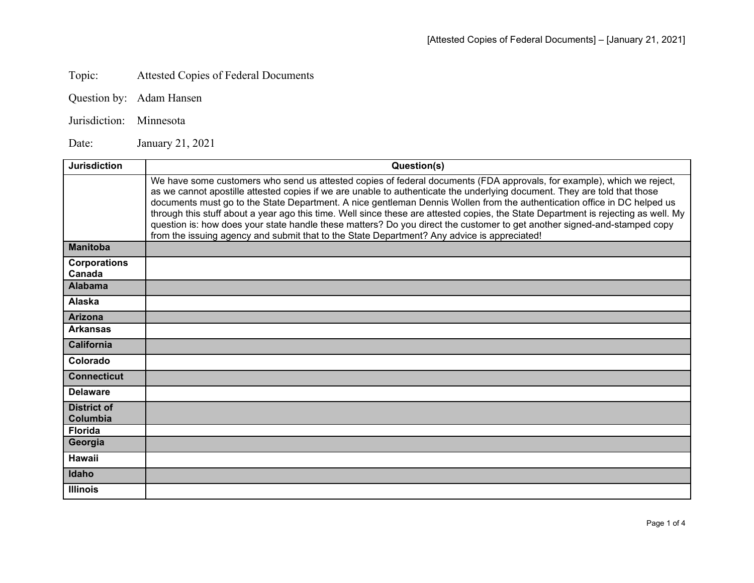## Topic: Attested Copies of Federal Documents

- Question by: Adam Hansen
- Jurisdiction: Minnesota

Date: January 21, 2021

| <b>Jurisdiction</b>            | Question(s)                                                                                                                                                                                                                                                                                                                                                                                                                                                                                                                                                                                                                                                                                                                                      |
|--------------------------------|--------------------------------------------------------------------------------------------------------------------------------------------------------------------------------------------------------------------------------------------------------------------------------------------------------------------------------------------------------------------------------------------------------------------------------------------------------------------------------------------------------------------------------------------------------------------------------------------------------------------------------------------------------------------------------------------------------------------------------------------------|
|                                | We have some customers who send us attested copies of federal documents (FDA approvals, for example), which we reject,<br>as we cannot apostille attested copies if we are unable to authenticate the underlying document. They are told that those<br>documents must go to the State Department. A nice gentleman Dennis Wollen from the authentication office in DC helped us<br>through this stuff about a year ago this time. Well since these are attested copies, the State Department is rejecting as well. My<br>question is: how does your state handle these matters? Do you direct the customer to get another signed-and-stamped copy<br>from the issuing agency and submit that to the State Department? Any advice is appreciated! |
| <b>Manitoba</b>                |                                                                                                                                                                                                                                                                                                                                                                                                                                                                                                                                                                                                                                                                                                                                                  |
| <b>Corporations</b><br>Canada  |                                                                                                                                                                                                                                                                                                                                                                                                                                                                                                                                                                                                                                                                                                                                                  |
| <b>Alabama</b>                 |                                                                                                                                                                                                                                                                                                                                                                                                                                                                                                                                                                                                                                                                                                                                                  |
| Alaska                         |                                                                                                                                                                                                                                                                                                                                                                                                                                                                                                                                                                                                                                                                                                                                                  |
| <b>Arizona</b>                 |                                                                                                                                                                                                                                                                                                                                                                                                                                                                                                                                                                                                                                                                                                                                                  |
| <b>Arkansas</b>                |                                                                                                                                                                                                                                                                                                                                                                                                                                                                                                                                                                                                                                                                                                                                                  |
| <b>California</b>              |                                                                                                                                                                                                                                                                                                                                                                                                                                                                                                                                                                                                                                                                                                                                                  |
| Colorado                       |                                                                                                                                                                                                                                                                                                                                                                                                                                                                                                                                                                                                                                                                                                                                                  |
| <b>Connecticut</b>             |                                                                                                                                                                                                                                                                                                                                                                                                                                                                                                                                                                                                                                                                                                                                                  |
| <b>Delaware</b>                |                                                                                                                                                                                                                                                                                                                                                                                                                                                                                                                                                                                                                                                                                                                                                  |
| <b>District of</b><br>Columbia |                                                                                                                                                                                                                                                                                                                                                                                                                                                                                                                                                                                                                                                                                                                                                  |
| <b>Florida</b>                 |                                                                                                                                                                                                                                                                                                                                                                                                                                                                                                                                                                                                                                                                                                                                                  |
| Georgia                        |                                                                                                                                                                                                                                                                                                                                                                                                                                                                                                                                                                                                                                                                                                                                                  |
| Hawaii                         |                                                                                                                                                                                                                                                                                                                                                                                                                                                                                                                                                                                                                                                                                                                                                  |
| Idaho                          |                                                                                                                                                                                                                                                                                                                                                                                                                                                                                                                                                                                                                                                                                                                                                  |
| <b>Illinois</b>                |                                                                                                                                                                                                                                                                                                                                                                                                                                                                                                                                                                                                                                                                                                                                                  |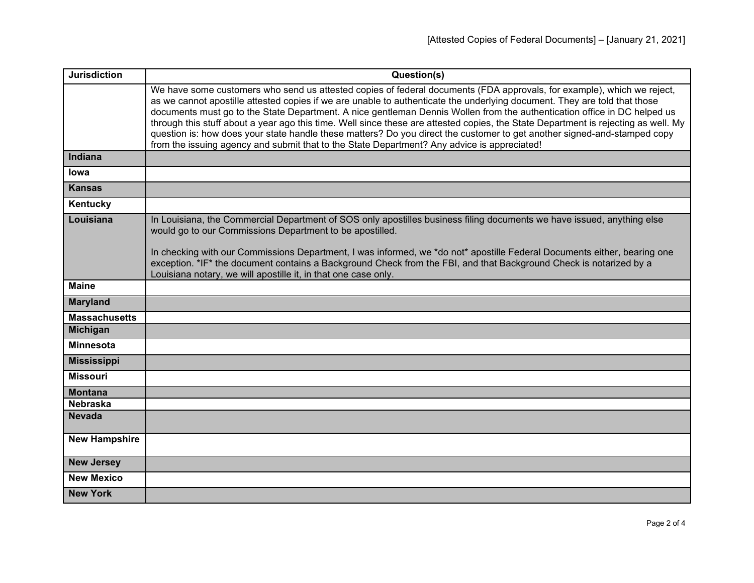| <b>Jurisdiction</b>  | Question(s)                                                                                                                                                                                                                                                                                                                                                                                                                                                                                                                                                                                                                                                                                                                                      |
|----------------------|--------------------------------------------------------------------------------------------------------------------------------------------------------------------------------------------------------------------------------------------------------------------------------------------------------------------------------------------------------------------------------------------------------------------------------------------------------------------------------------------------------------------------------------------------------------------------------------------------------------------------------------------------------------------------------------------------------------------------------------------------|
|                      | We have some customers who send us attested copies of federal documents (FDA approvals, for example), which we reject,<br>as we cannot apostille attested copies if we are unable to authenticate the underlying document. They are told that those<br>documents must go to the State Department. A nice gentleman Dennis Wollen from the authentication office in DC helped us<br>through this stuff about a year ago this time. Well since these are attested copies, the State Department is rejecting as well. My<br>question is: how does your state handle these matters? Do you direct the customer to get another signed-and-stamped copy<br>from the issuing agency and submit that to the State Department? Any advice is appreciated! |
| Indiana              |                                                                                                                                                                                                                                                                                                                                                                                                                                                                                                                                                                                                                                                                                                                                                  |
| lowa                 |                                                                                                                                                                                                                                                                                                                                                                                                                                                                                                                                                                                                                                                                                                                                                  |
| <b>Kansas</b>        |                                                                                                                                                                                                                                                                                                                                                                                                                                                                                                                                                                                                                                                                                                                                                  |
| Kentucky             |                                                                                                                                                                                                                                                                                                                                                                                                                                                                                                                                                                                                                                                                                                                                                  |
| Louisiana            | In Louisiana, the Commercial Department of SOS only apostilles business filing documents we have issued, anything else<br>would go to our Commissions Department to be apostilled.<br>In checking with our Commissions Department, I was informed, we *do not* apostille Federal Documents either, bearing one<br>exception. *IF* the document contains a Background Check from the FBI, and that Background Check is notarized by a<br>Louisiana notary, we will apostille it, in that one case only.                                                                                                                                                                                                                                           |
| <b>Maine</b>         |                                                                                                                                                                                                                                                                                                                                                                                                                                                                                                                                                                                                                                                                                                                                                  |
| <b>Maryland</b>      |                                                                                                                                                                                                                                                                                                                                                                                                                                                                                                                                                                                                                                                                                                                                                  |
| <b>Massachusetts</b> |                                                                                                                                                                                                                                                                                                                                                                                                                                                                                                                                                                                                                                                                                                                                                  |
| <b>Michigan</b>      |                                                                                                                                                                                                                                                                                                                                                                                                                                                                                                                                                                                                                                                                                                                                                  |
| <b>Minnesota</b>     |                                                                                                                                                                                                                                                                                                                                                                                                                                                                                                                                                                                                                                                                                                                                                  |
| <b>Mississippi</b>   |                                                                                                                                                                                                                                                                                                                                                                                                                                                                                                                                                                                                                                                                                                                                                  |
| <b>Missouri</b>      |                                                                                                                                                                                                                                                                                                                                                                                                                                                                                                                                                                                                                                                                                                                                                  |
| <b>Montana</b>       |                                                                                                                                                                                                                                                                                                                                                                                                                                                                                                                                                                                                                                                                                                                                                  |
| <b>Nebraska</b>      |                                                                                                                                                                                                                                                                                                                                                                                                                                                                                                                                                                                                                                                                                                                                                  |
| <b>Nevada</b>        |                                                                                                                                                                                                                                                                                                                                                                                                                                                                                                                                                                                                                                                                                                                                                  |
| <b>New Hampshire</b> |                                                                                                                                                                                                                                                                                                                                                                                                                                                                                                                                                                                                                                                                                                                                                  |
| <b>New Jersey</b>    |                                                                                                                                                                                                                                                                                                                                                                                                                                                                                                                                                                                                                                                                                                                                                  |
| <b>New Mexico</b>    |                                                                                                                                                                                                                                                                                                                                                                                                                                                                                                                                                                                                                                                                                                                                                  |
| <b>New York</b>      |                                                                                                                                                                                                                                                                                                                                                                                                                                                                                                                                                                                                                                                                                                                                                  |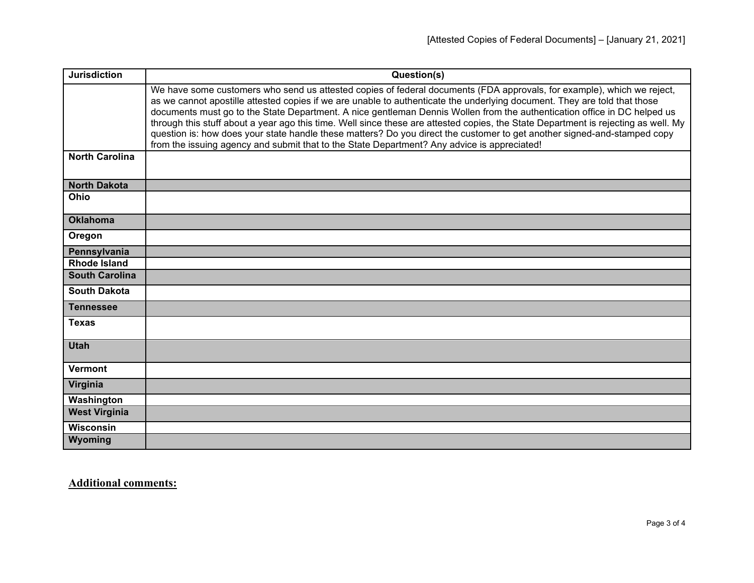| <b>Jurisdiction</b>   | Question(s)                                                                                                                                                                                                                                                                                                                                                                                                                                                                                                                                                                                                                                                                                                                                      |
|-----------------------|--------------------------------------------------------------------------------------------------------------------------------------------------------------------------------------------------------------------------------------------------------------------------------------------------------------------------------------------------------------------------------------------------------------------------------------------------------------------------------------------------------------------------------------------------------------------------------------------------------------------------------------------------------------------------------------------------------------------------------------------------|
|                       | We have some customers who send us attested copies of federal documents (FDA approvals, for example), which we reject,<br>as we cannot apostille attested copies if we are unable to authenticate the underlying document. They are told that those<br>documents must go to the State Department. A nice gentleman Dennis Wollen from the authentication office in DC helped us<br>through this stuff about a year ago this time. Well since these are attested copies, the State Department is rejecting as well. My<br>question is: how does your state handle these matters? Do you direct the customer to get another signed-and-stamped copy<br>from the issuing agency and submit that to the State Department? Any advice is appreciated! |
| <b>North Carolina</b> |                                                                                                                                                                                                                                                                                                                                                                                                                                                                                                                                                                                                                                                                                                                                                  |
| <b>North Dakota</b>   |                                                                                                                                                                                                                                                                                                                                                                                                                                                                                                                                                                                                                                                                                                                                                  |
| Ohio                  |                                                                                                                                                                                                                                                                                                                                                                                                                                                                                                                                                                                                                                                                                                                                                  |
| <b>Oklahoma</b>       |                                                                                                                                                                                                                                                                                                                                                                                                                                                                                                                                                                                                                                                                                                                                                  |
| Oregon                |                                                                                                                                                                                                                                                                                                                                                                                                                                                                                                                                                                                                                                                                                                                                                  |
| Pennsylvania          |                                                                                                                                                                                                                                                                                                                                                                                                                                                                                                                                                                                                                                                                                                                                                  |
| <b>Rhode Island</b>   |                                                                                                                                                                                                                                                                                                                                                                                                                                                                                                                                                                                                                                                                                                                                                  |
| <b>South Carolina</b> |                                                                                                                                                                                                                                                                                                                                                                                                                                                                                                                                                                                                                                                                                                                                                  |
| <b>South Dakota</b>   |                                                                                                                                                                                                                                                                                                                                                                                                                                                                                                                                                                                                                                                                                                                                                  |
| <b>Tennessee</b>      |                                                                                                                                                                                                                                                                                                                                                                                                                                                                                                                                                                                                                                                                                                                                                  |
| <b>Texas</b>          |                                                                                                                                                                                                                                                                                                                                                                                                                                                                                                                                                                                                                                                                                                                                                  |
| <b>Utah</b>           |                                                                                                                                                                                                                                                                                                                                                                                                                                                                                                                                                                                                                                                                                                                                                  |
| <b>Vermont</b>        |                                                                                                                                                                                                                                                                                                                                                                                                                                                                                                                                                                                                                                                                                                                                                  |
| Virginia              |                                                                                                                                                                                                                                                                                                                                                                                                                                                                                                                                                                                                                                                                                                                                                  |
| Washington            |                                                                                                                                                                                                                                                                                                                                                                                                                                                                                                                                                                                                                                                                                                                                                  |
| <b>West Virginia</b>  |                                                                                                                                                                                                                                                                                                                                                                                                                                                                                                                                                                                                                                                                                                                                                  |
| <b>Wisconsin</b>      |                                                                                                                                                                                                                                                                                                                                                                                                                                                                                                                                                                                                                                                                                                                                                  |
| Wyoming               |                                                                                                                                                                                                                                                                                                                                                                                                                                                                                                                                                                                                                                                                                                                                                  |

**Additional comments:**